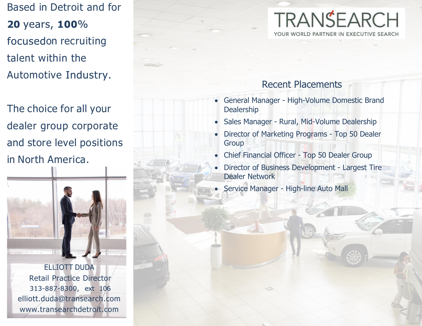Based in Detroit and for 20 years, 100% focusedon recruiting talent within the Automotive Industry.

The choice for all your dealer group corporate and store level positions in North America.



**ELLIOTT DUDA** Retail Practice Director 313-887-8300, ext 106 elliott.duda@transearch.com www.transearchdetroit.com

# **TRANSEARCH** YOUR WORLD PARTNER IN EXECUTIVE SEARCH

### Recent Placements

- General Manager High-Volume Domestic Brand Dealership
- Sales Manager Rural, Mid-Volume Dealership
- Director of Marketing Programs Top 50 Dealer Group
- Chief Financial Officer Top 50 Dealer Group
- Director of Business Development Largest Tire Dealer Network
	- Service Manager High-line Auto Mall